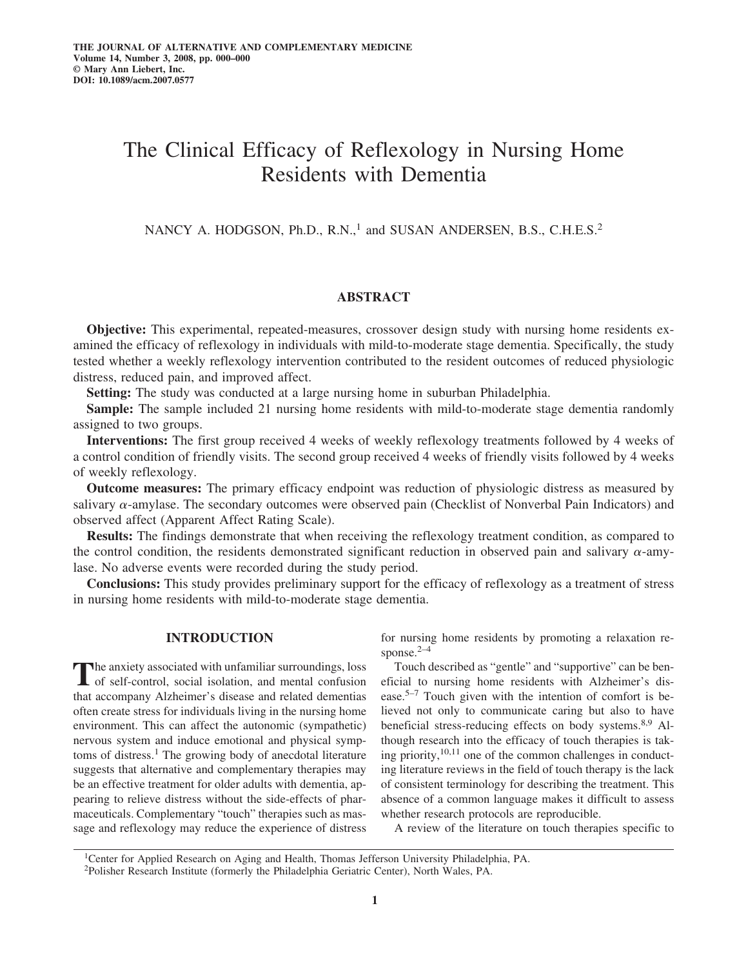# The Clinical Efficacy of Reflexology in Nursing Home Residents with Dementia

NANCY A. HODGSON, Ph.D., R.N.,<sup>1</sup> and SUSAN ANDERSEN, B.S., C.H.E.S.<sup>2</sup>

# **ABSTRACT**

**Objective:** This experimental, repeated-measures, crossover design study with nursing home residents examined the efficacy of reflexology in individuals with mild-to-moderate stage dementia. Specifically, the study tested whether a weekly reflexology intervention contributed to the resident outcomes of reduced physiologic distress, reduced pain, and improved affect.

**Setting:** The study was conducted at a large nursing home in suburban Philadelphia.

**Sample:** The sample included 21 nursing home residents with mild-to-moderate stage dementia randomly assigned to two groups.

**Interventions:** The first group received 4 weeks of weekly reflexology treatments followed by 4 weeks of a control condition of friendly visits. The second group received 4 weeks of friendly visits followed by 4 weeks of weekly reflexology.

**Outcome measures:** The primary efficacy endpoint was reduction of physiologic distress as measured by salivary  $\alpha$ -amylase. The secondary outcomes were observed pain (Checklist of Nonverbal Pain Indicators) and observed affect (Apparent Affect Rating Scale).

**Results:** The findings demonstrate that when receiving the reflexology treatment condition, as compared to the control condition, the residents demonstrated significant reduction in observed pain and salivary  $\alpha$ -amylase. No adverse events were recorded during the study period.

**Conclusions:** This study provides preliminary support for the efficacy of reflexology as a treatment of stress in nursing home residents with mild-to-moderate stage dementia.

# **INTRODUCTION**

The anxiety associated with unfamiliar surroundings, loss<br>of self-control, social isolation, and mental confusion that accompany Alzheimer's disease and related dementias often create stress for individuals living in the nursing home environment. This can affect the autonomic (sympathetic) nervous system and induce emotional and physical symptoms of distress.<sup>1</sup> The growing body of anecdotal literature suggests that alternative and complementary therapies may be an effective treatment for older adults with dementia, appearing to relieve distress without the side-effects of pharmaceuticals. Complementary "touch" therapies such as massage and reflexology may reduce the experience of distress for nursing home residents by promoting a relaxation response. $2-4$ 

Touch described as "gentle" and "supportive" can be beneficial to nursing home residents with Alzheimer's disease.5–7 Touch given with the intention of comfort is believed not only to communicate caring but also to have beneficial stress-reducing effects on body systems.8,9 Although research into the efficacy of touch therapies is taking priority,  $10,11$  one of the common challenges in conducting literature reviews in the field of touch therapy is the lack of consistent terminology for describing the treatment. This absence of a common language makes it difficult to assess whether research protocols are reproducible.

A review of the literature on touch therapies specific to

1Center for Applied Research on Aging and Health, Thomas Jefferson University Philadelphia, PA. 2Polisher Research Institute (formerly the Philadelphia Geriatric Center), North Wales, PA.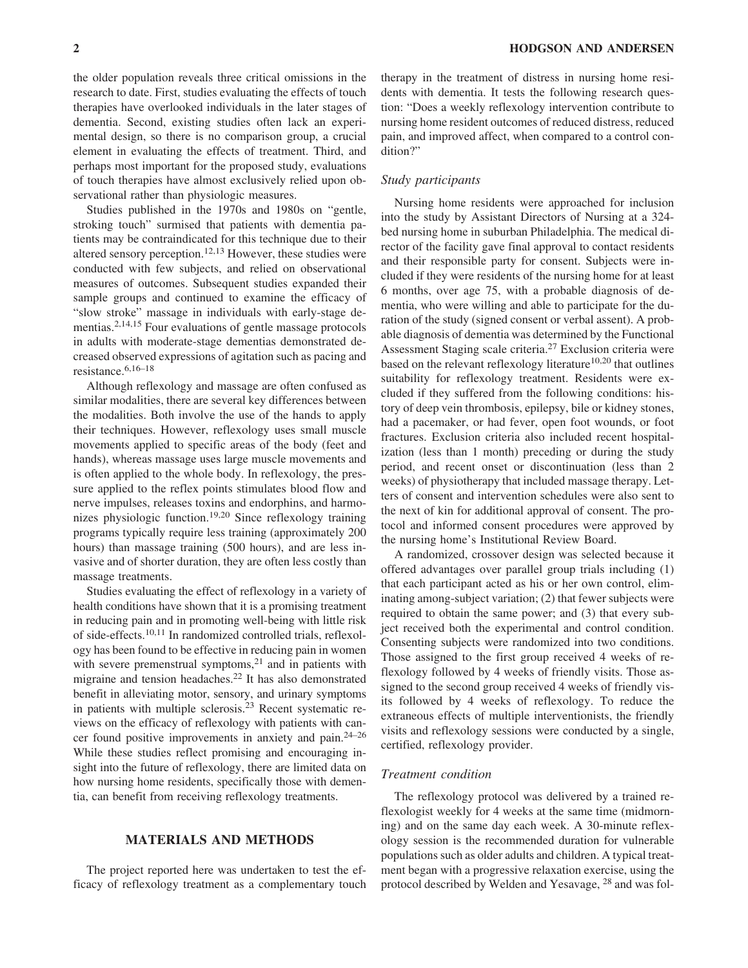the older population reveals three critical omissions in the research to date. First, studies evaluating the effects of touch therapies have overlooked individuals in the later stages of dementia. Second, existing studies often lack an experimental design, so there is no comparison group, a crucial element in evaluating the effects of treatment. Third, and perhaps most important for the proposed study, evaluations of touch therapies have almost exclusively relied upon observational rather than physiologic measures.

Studies published in the 1970s and 1980s on "gentle, stroking touch" surmised that patients with dementia patients may be contraindicated for this technique due to their altered sensory perception.<sup>12,13</sup> However, these studies were conducted with few subjects, and relied on observational measures of outcomes. Subsequent studies expanded their sample groups and continued to examine the efficacy of "slow stroke" massage in individuals with early-stage dementias.2,14,15 Four evaluations of gentle massage protocols in adults with moderate-stage dementias demonstrated decreased observed expressions of agitation such as pacing and resistance.6,16–18

Although reflexology and massage are often confused as similar modalities, there are several key differences between the modalities. Both involve the use of the hands to apply their techniques. However, reflexology uses small muscle movements applied to specific areas of the body (feet and hands), whereas massage uses large muscle movements and is often applied to the whole body. In reflexology, the pressure applied to the reflex points stimulates blood flow and nerve impulses, releases toxins and endorphins, and harmonizes physiologic function.19,20 Since reflexology training programs typically require less training (approximately 200 hours) than massage training (500 hours), and are less invasive and of shorter duration, they are often less costly than massage treatments.

Studies evaluating the effect of reflexology in a variety of health conditions have shown that it is a promising treatment in reducing pain and in promoting well-being with little risk of side-effects.10,11 In randomized controlled trials, reflexology has been found to be effective in reducing pain in women with severe premenstrual symptoms, $2<sup>1</sup>$  and in patients with migraine and tension headaches.22 It has also demonstrated benefit in alleviating motor, sensory, and urinary symptoms in patients with multiple sclerosis.23 Recent systematic reviews on the efficacy of reflexology with patients with cancer found positive improvements in anxiety and pain.24–26 While these studies reflect promising and encouraging insight into the future of reflexology, there are limited data on how nursing home residents, specifically those with dementia, can benefit from receiving reflexology treatments.

## **MATERIALS AND METHODS**

The project reported here was undertaken to test the efficacy of reflexology treatment as a complementary touch therapy in the treatment of distress in nursing home residents with dementia. It tests the following research question: "Does a weekly reflexology intervention contribute to nursing home resident outcomes of reduced distress, reduced pain, and improved affect, when compared to a control condition?"

## *Study participants*

Nursing home residents were approached for inclusion into the study by Assistant Directors of Nursing at a 324 bed nursing home in suburban Philadelphia. The medical director of the facility gave final approval to contact residents and their responsible party for consent. Subjects were included if they were residents of the nursing home for at least 6 months, over age 75, with a probable diagnosis of dementia, who were willing and able to participate for the duration of the study (signed consent or verbal assent). A probable diagnosis of dementia was determined by the Functional Assessment Staging scale criteria.27 Exclusion criteria were based on the relevant reflexology literature $10,20$  that outlines suitability for reflexology treatment. Residents were excluded if they suffered from the following conditions: history of deep vein thrombosis, epilepsy, bile or kidney stones, had a pacemaker, or had fever, open foot wounds, or foot fractures. Exclusion criteria also included recent hospitalization (less than 1 month) preceding or during the study period, and recent onset or discontinuation (less than 2 weeks) of physiotherapy that included massage therapy. Letters of consent and intervention schedules were also sent to the next of kin for additional approval of consent. The protocol and informed consent procedures were approved by the nursing home's Institutional Review Board.

A randomized, crossover design was selected because it offered advantages over parallel group trials including (1) that each participant acted as his or her own control, eliminating among-subject variation; (2) that fewer subjects were required to obtain the same power; and (3) that every subject received both the experimental and control condition. Consenting subjects were randomized into two conditions. Those assigned to the first group received 4 weeks of reflexology followed by 4 weeks of friendly visits. Those assigned to the second group received 4 weeks of friendly visits followed by 4 weeks of reflexology. To reduce the extraneous effects of multiple interventionists, the friendly visits and reflexology sessions were conducted by a single, certified, reflexology provider.

## *Treatment condition*

The reflexology protocol was delivered by a trained reflexologist weekly for 4 weeks at the same time (midmorning) and on the same day each week. A 30-minute reflexology session is the recommended duration for vulnerable populations such as older adults and children. A typical treatment began with a progressive relaxation exercise, using the protocol described by Welden and Yesavage, <sup>28</sup> and was fol-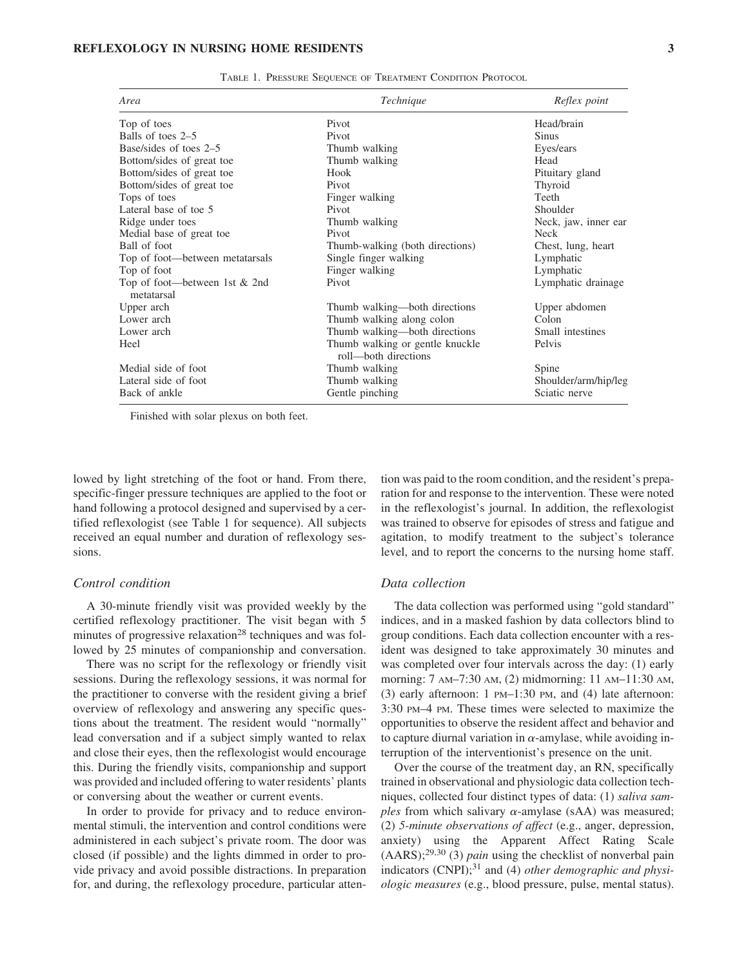| Area                                        | Technique                                               | Reflex point         |  |
|---------------------------------------------|---------------------------------------------------------|----------------------|--|
| Top of toes                                 | Pivot                                                   | Head/brain           |  |
| Balls of toes 2–5                           | Pivot                                                   | <b>Sinus</b>         |  |
| Base/sides of toes 2–5                      | Thumb walking                                           | Eyes/ears            |  |
| Bottom/sides of great toe                   | Thumb walking                                           | Head                 |  |
| Bottom/sides of great toe                   | Hook                                                    | Pituitary gland      |  |
| Bottom/sides of great toe                   | Pivot                                                   | Thyroid              |  |
| Tops of toes                                | Finger walking                                          | Teeth                |  |
| Lateral base of toe 5                       | Pivot                                                   | Shoulder             |  |
| Ridge under toes                            | Thumb walking                                           | Neck, jaw, inner ear |  |
| Medial base of great toe                    | Pivot                                                   | <b>Neck</b>          |  |
| Ball of foot                                | Thumb-walking (both directions)                         | Chest, lung, heart   |  |
| Top of foot—between metatarsals             | Single finger walking                                   | Lymphatic            |  |
| Top of foot                                 | Finger walking                                          | Lymphatic            |  |
| Top of foot—between 1st & 2nd<br>metatarsal | Pivot                                                   | Lymphatic drainage   |  |
| Upper arch                                  | Thumb walking—both directions                           | Upper abdomen        |  |
| Lower arch                                  | Thumb walking along colon                               | Colon                |  |
| Lower arch                                  | Thumb walking-both directions                           | Small intestines     |  |
| Heel                                        | Thumb walking or gentle knuckle<br>roll—both directions | Pelvis               |  |
| Medial side of foot                         | Thumb walking                                           | Spine                |  |
| Lateral side of foot                        | Thumb walking                                           | Shoulder/arm/hip/leg |  |
| Back of ankle                               | Gentle pinching<br>Sciatic nerve                        |                      |  |

TABLE 1. PRESSURE SEQUENCE OF TREATMENT CONDITION PROTOCOL

Finished with solar plexus on both feet.

lowed by light stretching of the foot or hand. From there, specific-finger pressure techniques are applied to the foot or hand following a protocol designed and supervised by a certified reflexologist (see Table 1 for sequence). All subjects received an equal number and duration of reflexology sessions.

#### *Control condition*

A 30-minute friendly visit was provided weekly by the certified reflexology practitioner. The visit began with 5 minutes of progressive relaxation<sup>28</sup> techniques and was followed by 25 minutes of companionship and conversation.

There was no script for the reflexology or friendly visit sessions. During the reflexology sessions, it was normal for the practitioner to converse with the resident giving a brief overview of reflexology and answering any specific questions about the treatment. The resident would "normally" lead conversation and if a subject simply wanted to relax and close their eyes, then the reflexologist would encourage this. During the friendly visits, companionship and support was provided and included offering to water residents' plants or conversing about the weather or current events.

In order to provide for privacy and to reduce environmental stimuli, the intervention and control conditions were administered in each subject's private room. The door was closed (if possible) and the lights dimmed in order to provide privacy and avoid possible distractions. In preparation for, and during, the reflexology procedure, particular atten-

tion was paid to the room condition, and the resident's preparation for and response to the intervention. These were noted in the reflexologist's journal. In addition, the reflexologist was trained to observe for episodes of stress and fatigue and agitation, to modify treatment to the subject's tolerance level, and to report the concerns to the nursing home staff.

#### *Data collection*

The data collection was performed using "gold standard" indices, and in a masked fashion by data collectors blind to group conditions. Each data collection encounter with a resident was designed to take approximately 30 minutes and was completed over four intervals across the day: (1) early morning: 7 AM–7:30 AM, (2) midmorning: 11 AM–11:30 AM, (3) early afternoon: 1 PM–1:30 PM, and (4) late afternoon: 3:30 PM–4 PM. These times were selected to maximize the opportunities to observe the resident affect and behavior and to capture diurnal variation in  $\alpha$ -amylase, while avoiding interruption of the interventionist's presence on the unit.

Over the course of the treatment day, an RN, specifically trained in observational and physiologic data collection techniques, collected four distinct types of data: (1) *saliva samples* from which salivary  $\alpha$ -amylase (sAA) was measured; (2) *5-minute observations of affect* (e.g., anger, depression, anxiety) using the Apparent Affect Rating Scale (AARS);29,30 (3) *pain* using the checklist of nonverbal pain indicators (CNPI);<sup>31</sup> and (4) *other demographic and physiologic measures* (e.g., blood pressure, pulse, mental status).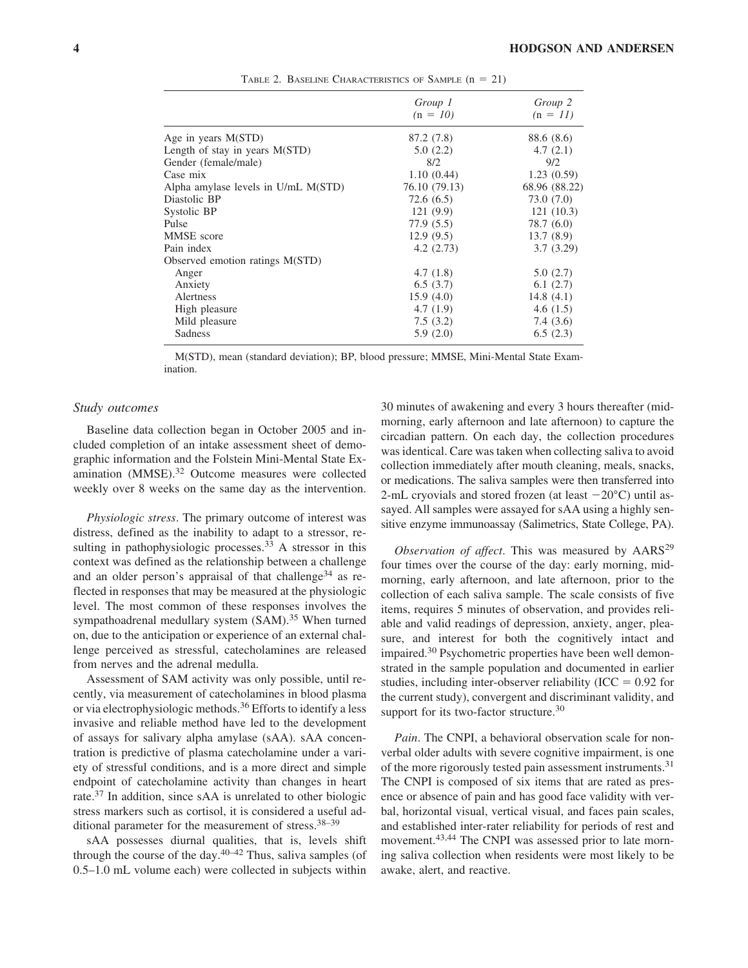|                                     | Group 1       | Group 2       |
|-------------------------------------|---------------|---------------|
|                                     | $(n = 10)$    | $(n = 11)$    |
| Age in years M(STD)                 | 87.2 (7.8)    | 88.6 (8.6)    |
| Length of stay in years $M(STD)$    | 5.0(2.2)      | 4.7(2.1)      |
| Gender (female/male)                | 8/2           | 9/2           |
| Case mix                            | 1.10(0.44)    | 1.23(0.59)    |
| Alpha amylase levels in U/mL M(STD) | 76.10 (79.13) | 68.96 (88.22) |
| Diastolic BP                        | 72.6(6.5)     | 73.0(7.0)     |
| Systolic BP                         | 121(9.9)      | 121(10.3)     |
| Pulse                               | 77.9(5.5)     | 78.7 (6.0)    |
| MMSE score                          | 12.9(9.5)     | 13.7(8.9)     |
| Pain index                          | 4.2(2.73)     | 3.7(3.29)     |
| Observed emotion ratings M(STD)     |               |               |
| Anger                               | 4.7(1.8)      | 5.0(2.7)      |
| Anxiety                             | 6.5(3.7)      | 6.1(2.7)      |
| <b>Alertness</b>                    | 15.9(4.0)     | 14.8(4.1)     |
| High pleasure                       | 4.7(1.9)      | 4.6(1.5)      |
| Mild pleasure                       | 7.5(3.2)      | 7.4(3.6)      |
| Sadness                             | 5.9(2.0)      | 6.5(2.3)      |

TABLE 2. BASELINE CHARACTERISTICS OF SAMPLE  $(n = 21)$ 

M(STD), mean (standard deviation); BP, blood pressure; MMSE, Mini-Mental State Examination.

## *Study outcomes*

Baseline data collection began in October 2005 and included completion of an intake assessment sheet of demographic information and the Folstein Mini-Mental State Examination (MMSE).32 Outcome measures were collected weekly over 8 weeks on the same day as the intervention.

*Physiologic stress*. The primary outcome of interest was distress, defined as the inability to adapt to a stressor, resulting in pathophysiologic processes.<sup>33</sup> A stressor in this context was defined as the relationship between a challenge and an older person's appraisal of that challenge<sup>34</sup> as reflected in responses that may be measured at the physiologic level. The most common of these responses involves the sympathoadrenal medullary system (SAM).<sup>35</sup> When turned on, due to the anticipation or experience of an external challenge perceived as stressful, catecholamines are released from nerves and the adrenal medulla.

Assessment of SAM activity was only possible, until recently, via measurement of catecholamines in blood plasma or via electrophysiologic methods.<sup>36</sup> Efforts to identify a less invasive and reliable method have led to the development of assays for salivary alpha amylase (sAA). sAA concentration is predictive of plasma catecholamine under a variety of stressful conditions, and is a more direct and simple endpoint of catecholamine activity than changes in heart rate.<sup>37</sup> In addition, since sAA is unrelated to other biologic stress markers such as cortisol, it is considered a useful additional parameter for the measurement of stress.<sup>38–39</sup>

sAA possesses diurnal qualities, that is, levels shift through the course of the day. $40-42$  Thus, saliva samples (of 0.5–1.0 mL volume each) were collected in subjects within

30 minutes of awakening and every 3 hours thereafter (midmorning, early afternoon and late afternoon) to capture the circadian pattern. On each day, the collection procedures was identical. Care was taken when collecting saliva to avoid collection immediately after mouth cleaning, meals, snacks, or medications. The saliva samples were then transferred into 2-mL cryovials and stored frozen (at least  $-20^{\circ}$ C) until assayed. All samples were assayed for sAA using a highly sensitive enzyme immunoassay (Salimetrics, State College, PA).

*Observation of affect*. This was measured by AARS<sup>29</sup> four times over the course of the day: early morning, midmorning, early afternoon, and late afternoon, prior to the collection of each saliva sample. The scale consists of five items, requires 5 minutes of observation, and provides reliable and valid readings of depression, anxiety, anger, pleasure, and interest for both the cognitively intact and impaired.30 Psychometric properties have been well demonstrated in the sample population and documented in earlier studies, including inter-observer reliability ( $\text{ICC} = 0.92$  for the current study), convergent and discriminant validity, and support for its two-factor structure.<sup>30</sup>

*Pain*. The CNPI, a behavioral observation scale for nonverbal older adults with severe cognitive impairment, is one of the more rigorously tested pain assessment instruments.<sup>31</sup> The CNPI is composed of six items that are rated as presence or absence of pain and has good face validity with verbal, horizontal visual, vertical visual, and faces pain scales, and established inter-rater reliability for periods of rest and movement.43,44 The CNPI was assessed prior to late morning saliva collection when residents were most likely to be awake, alert, and reactive.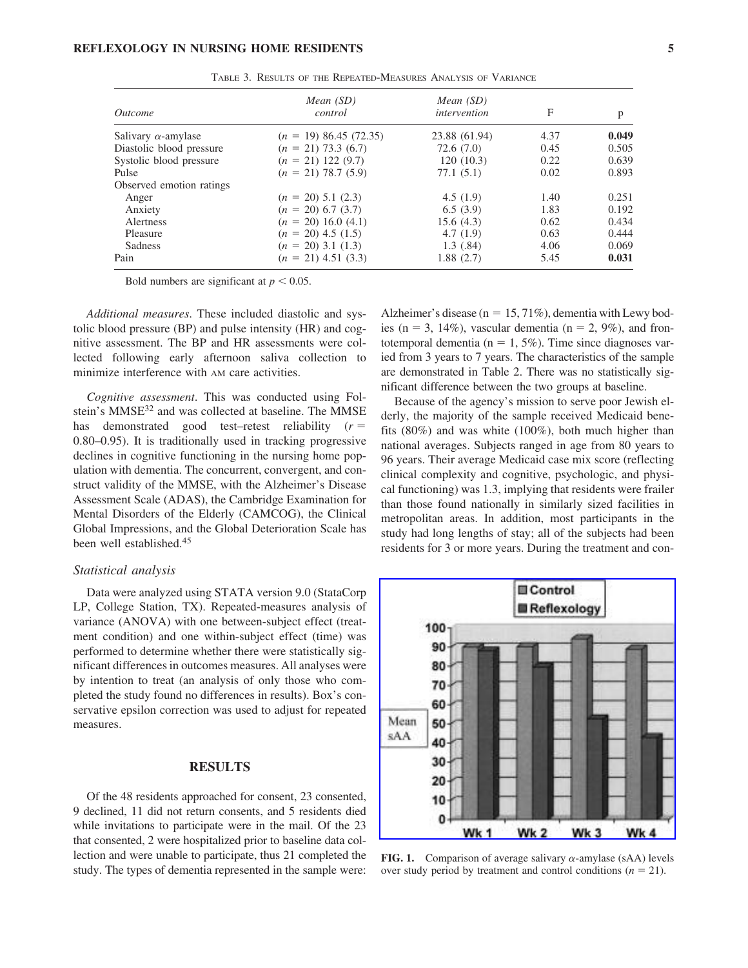#### **REFLEXOLOGY IN NURSING HOME RESIDENTS 5**

| <i><u>Outcome</u></i>      | Mean $(SD)$<br>control   | Mean $(SD)$<br>intervention | F    | p     |
|----------------------------|--------------------------|-----------------------------|------|-------|
|                            |                          |                             |      |       |
| Salivary $\alpha$ -amylase | $(n = 19) 86.45 (72.35)$ | 23.88 (61.94)               | 4.37 | 0.049 |
| Diastolic blood pressure   | $(n = 21)$ 73.3 (6.7)    | 72.6 (7.0)                  | 0.45 | 0.505 |
| Systolic blood pressure    | $(n = 21)$ 122 (9.7)     | 120(10.3)                   | 0.22 | 0.639 |
| Pulse                      | $(n = 21)$ 78.7 (5.9)    | 77.1(5.1)                   | 0.02 | 0.893 |
| Observed emotion ratings   |                          |                             |      |       |
| Anger                      | $(n = 20)$ 5.1 (2.3)     | 4.5(1.9)                    | 1.40 | 0.251 |
| Anxiety                    | $(n = 20)$ 6.7 (3.7)     | 6.5(3.9)                    | 1.83 | 0.192 |
| Alertness                  | $(n = 20)$ 16.0 (4.1)    | 15.6(4.3)                   | 0.62 | 0.434 |
| Pleasure                   | $(n = 20)$ 4.5 (1.5)     | 4.7(1.9)                    | 0.63 | 0.444 |
| <b>Sadness</b>             | $(n = 20)$ 3.1 (1.3)     | 1.3(0.84)                   | 4.06 | 0.069 |
| Pain                       | $(n = 21)$ 4.51 (3.3)    | 1.88(2.7)                   | 5.45 | 0.031 |

TABLE 3. RESULTS OF THE REPEATED-MEASURES ANALYSIS OF VARIANCE

Bold numbers are significant at  $p < 0.05$ .

*Additional measures*. These included diastolic and systolic blood pressure (BP) and pulse intensity (HR) and cognitive assessment. The BP and HR assessments were collected following early afternoon saliva collection to minimize interference with AM care activities.

*Cognitive assessment*. This was conducted using Folstein's MMSE<sup>32</sup> and was collected at baseline. The MMSE has demonstrated good test–retest reliability (*r* 0.80–0.95). It is traditionally used in tracking progressive declines in cognitive functioning in the nursing home population with dementia. The concurrent, convergent, and construct validity of the MMSE, with the Alzheimer's Disease Assessment Scale (ADAS), the Cambridge Examination for Mental Disorders of the Elderly (CAMCOG), the Clinical Global Impressions, and the Global Deterioration Scale has been well established.<sup>45</sup>

#### *Statistical analysis*

Data were analyzed using STATA version 9.0 (StataCorp LP, College Station, TX). Repeated-measures analysis of variance (ANOVA) with one between-subject effect (treatment condition) and one within-subject effect (time) was performed to determine whether there were statistically significant differences in outcomes measures. All analyses were by intention to treat (an analysis of only those who completed the study found no differences in results). Box's conservative epsilon correction was used to adjust for repeated measures.

# **RESULTS**

Of the 48 residents approached for consent, 23 consented, 9 declined, 11 did not return consents, and 5 residents died while invitations to participate were in the mail. Of the 23 that consented, 2 were hospitalized prior to baseline data collection and were unable to participate, thus 21 completed the study. The types of dementia represented in the sample were:

Alzheimer's disease ( $n = 15, 71\%$ ), dementia with Lewy bodies (n = 3, 14%), vascular dementia (n = 2, 9%), and frontotemporal dementia ( $n = 1, 5\%$ ). Time since diagnoses varied from 3 years to 7 years. The characteristics of the sample are demonstrated in Table 2. There was no statistically significant difference between the two groups at baseline.

Because of the agency's mission to serve poor Jewish elderly, the majority of the sample received Medicaid benefits (80%) and was white (100%), both much higher than national averages. Subjects ranged in age from 80 years to 96 years. Their average Medicaid case mix score (reflecting clinical complexity and cognitive, psychologic, and physical functioning) was 1.3, implying that residents were frailer than those found nationally in similarly sized facilities in metropolitan areas. In addition, most participants in the study had long lengths of stay; all of the subjects had been residents for 3 or more years. During the treatment and con-



**FIG. 1.** Comparison of average salivary  $\alpha$ -amylase (sAA) levels over study period by treatment and control conditions  $(n = 21)$ .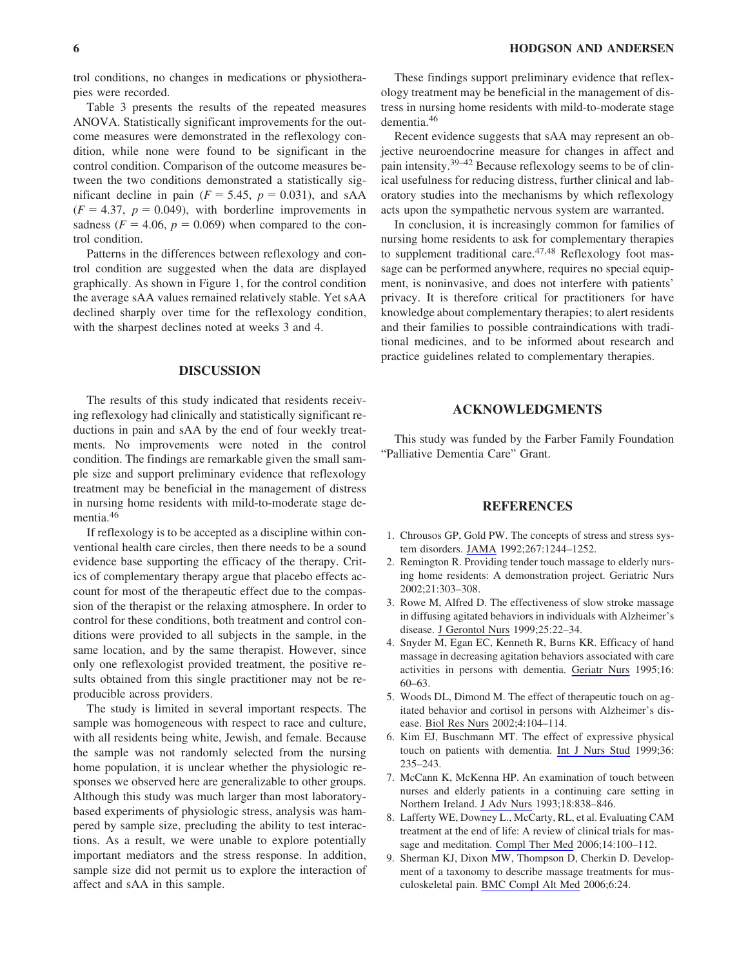trol conditions, no changes in medications or physiotherapies were recorded.

Table 3 presents the results of the repeated measures ANOVA. Statistically significant improvements for the outcome measures were demonstrated in the reflexology condition, while none were found to be significant in the control condition. Comparison of the outcome measures between the two conditions demonstrated a statistically significant decline in pain  $(F = 5.45, p = 0.031)$ , and sAA  $(F = 4.37, p = 0.049)$ , with borderline improvements in sadness  $(F = 4.06, p = 0.069)$  when compared to the control condition.

Patterns in the differences between reflexology and control condition are suggested when the data are displayed graphically. As shown in Figure 1, for the control condition the average sAA values remained relatively stable. Yet sAA declined sharply over time for the reflexology condition, with the sharpest declines noted at weeks 3 and 4.

## **DISCUSSION**

The results of this study indicated that residents receiving reflexology had clinically and statistically significant reductions in pain and sAA by the end of four weekly treatments. No improvements were noted in the control condition. The findings are remarkable given the small sample size and support preliminary evidence that reflexology treatment may be beneficial in the management of distress in nursing home residents with mild-to-moderate stage dementia.46

If reflexology is to be accepted as a discipline within conventional health care circles, then there needs to be a sound evidence base supporting the efficacy of the therapy. Critics of complementary therapy argue that placebo effects account for most of the therapeutic effect due to the compassion of the therapist or the relaxing atmosphere. In order to control for these conditions, both treatment and control conditions were provided to all subjects in the sample, in the same location, and by the same therapist. However, since only one reflexologist provided treatment, the positive results obtained from this single practitioner may not be reproducible across providers.

The study is limited in several important respects. The sample was homogeneous with respect to race and culture, with all residents being white, Jewish, and female. Because the sample was not randomly selected from the nursing home population, it is unclear whether the physiologic responses we observed here are generalizable to other groups. Although this study was much larger than most laboratorybased experiments of physiologic stress, analysis was hampered by sample size, precluding the ability to test interactions. As a result, we were unable to explore potentially important mediators and the stress response. In addition, sample size did not permit us to explore the interaction of affect and sAA in this sample.

These findings support preliminary evidence that reflexology treatment may be beneficial in the management of distress in nursing home residents with mild-to-moderate stage dementia.46

Recent evidence suggests that sAA may represent an objective neuroendocrine measure for changes in affect and pain intensity.39–42 Because reflexology seems to be of clinical usefulness for reducing distress, further clinical and laboratory studies into the mechanisms by which reflexology acts upon the sympathetic nervous system are warranted.

In conclusion, it is increasingly common for families of nursing home residents to ask for complementary therapies to supplement traditional care.<sup>47,48</sup> Reflexology foot massage can be performed anywhere, requires no special equipment, is noninvasive, and does not interfere with patients' privacy. It is therefore critical for practitioners for have knowledge about complementary therapies; to alert residents and their families to possible contraindications with traditional medicines, and to be informed about research and practice guidelines related to complementary therapies.

## **ACKNOWLEDGMENTS**

This study was funded by the Farber Family Foundation "Palliative Dementia Care" Grant.

#### **REFERENCES**

- 1. Chrousos GP, Gold PW. The concepts of stress and stress system disorders. JAMA 1992;267:1244–1252.
- 2. Remington R. Providing tender touch massage to elderly nursing home residents: A demonstration project. Geriatric Nurs 2002;21:303–308.
- 3. Rowe M, Alfred D. The effectiveness of slow stroke massage in diffusing agitated behaviors in individuals with Alzheimer's disease. J Gerontol Nurs 1999;25:22–34.
- 4. Snyder M, Egan EC, Kenneth R, Burns KR. Efficacy of hand massage in decreasing agitation behaviors associated with care activities in persons with dementia. Geriatr Nurs 1995;16: 60–63.
- 5. Woods DL, Dimond M. The effect of therapeutic touch on agitated behavior and cortisol in persons with Alzheimer's disease. Biol Res Nurs 2002;4:104–114.
- 6. Kim EJ, Buschmann MT. The effect of expressive physical touch on patients with dementia. Int J Nurs Stud 1999;36: 235–243.
- 7. McCann K, McKenna HP. An examination of touch between nurses and elderly patients in a continuing care setting in Northern Ireland. J Adv Nurs 1993;18:838–846.
- 8. Lafferty WE, Downey L., McCarty, RL, et al. Evaluating CAM treatment at the end of life: A review of clinical trials for massage and meditation. Compl Ther Med 2006;14:100–112.
- 9. Sherman KJ, Dixon MW, Thompson D, Cherkin D. Development of a taxonomy to describe massage treatments for musculoskeletal pain. BMC Compl Alt Med 2006;6:24.